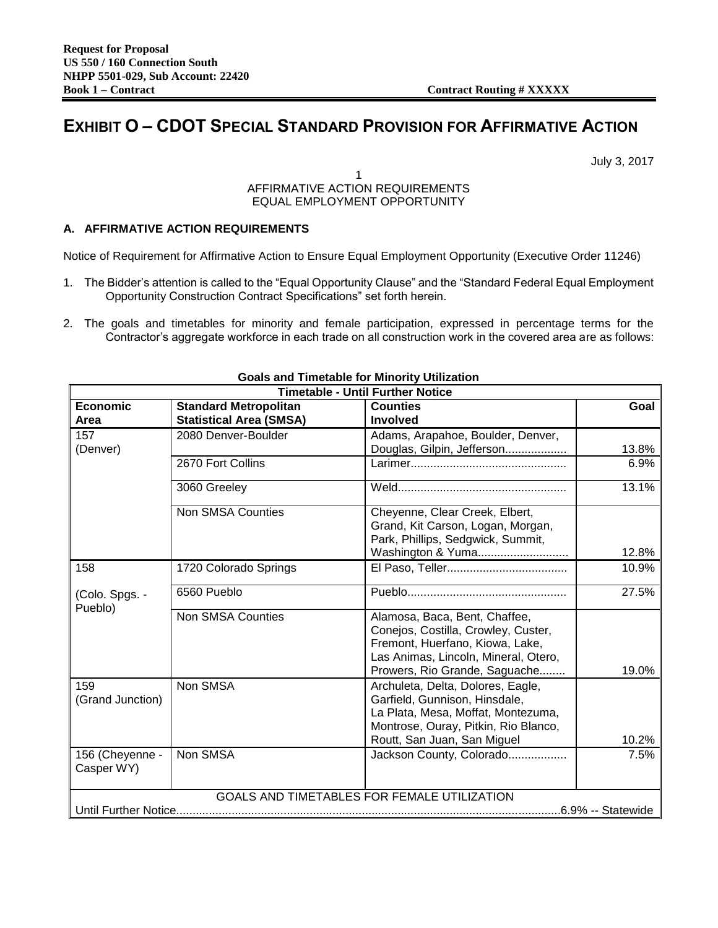# **EXHIBIT O – CDOT SPECIAL STANDARD PROVISION FOR AFFIRMATIVE ACTION**

July 3, 2017

1 AFFIRMATIVE ACTION REQUIREMENTS EQUAL EMPLOYMENT OPPORTUNITY

#### **A. AFFIRMATIVE ACTION REQUIREMENTS**

Notice of Requirement for Affirmative Action to Ensure Equal Employment Opportunity (Executive Order 11246)

- 1. The Bidder's attention is called to the "Equal Opportunity Clause" and the "Standard Federal Equal Employment Opportunity Construction Contract Specifications" set forth herein.
- 2. The goals and timetables for minority and female participation, expressed in percentage terms for the Contractor's aggregate workforce in each trade on all construction work in the covered area are as follows:

| <u>s and runctable for minority cuntation</u><br><b>Timetable - Until Further Notice</b> |                                                                |                                                                                                                                                                                  |       |
|------------------------------------------------------------------------------------------|----------------------------------------------------------------|----------------------------------------------------------------------------------------------------------------------------------------------------------------------------------|-------|
| <b>Economic</b><br>Area                                                                  | <b>Standard Metropolitan</b><br><b>Statistical Area (SMSA)</b> | <b>Counties</b><br><b>Involved</b>                                                                                                                                               | Goal  |
| 157<br>(Denver)                                                                          | 2080 Denver-Boulder                                            | Adams, Arapahoe, Boulder, Denver,<br>Douglas, Gilpin, Jefferson                                                                                                                  | 13.8% |
|                                                                                          | 2670 Fort Collins                                              |                                                                                                                                                                                  | 6.9%  |
|                                                                                          | 3060 Greeley                                                   |                                                                                                                                                                                  | 13.1% |
|                                                                                          | <b>Non SMSA Counties</b>                                       | Cheyenne, Clear Creek, Elbert,<br>Grand, Kit Carson, Logan, Morgan,<br>Park, Phillips, Sedgwick, Summit,<br>Washington & Yuma                                                    | 12.8% |
| 158                                                                                      | 1720 Colorado Springs                                          |                                                                                                                                                                                  | 10.9% |
| (Colo. Spgs. -<br>Pueblo)                                                                | 6560 Pueblo                                                    |                                                                                                                                                                                  | 27.5% |
|                                                                                          | <b>Non SMSA Counties</b>                                       | Alamosa, Baca, Bent, Chaffee,<br>Conejos, Costilla, Crowley, Custer,<br>Fremont, Huerfano, Kiowa, Lake,<br>Las Animas, Lincoln, Mineral, Otero,<br>Prowers, Rio Grande, Saguache | 19.0% |
| 159<br>(Grand Junction)                                                                  | Non SMSA                                                       | Archuleta, Delta, Dolores, Eagle,<br>Garfield, Gunnison, Hinsdale,<br>La Plata, Mesa, Moffat, Montezuma,<br>Montrose, Ouray, Pitkin, Rio Blanco,<br>Routt, San Juan, San Miguel  | 10.2% |
| 156 (Cheyenne -<br>Casper WY)                                                            | Non SMSA                                                       | Jackson County, Colorado                                                                                                                                                         | 7.5%  |
| GOALS AND TIMETABLES FOR FEMALE UTILIZATION<br>6.9% -- Statewide                         |                                                                |                                                                                                                                                                                  |       |

#### **Goals and Timetable for Minority Utilization**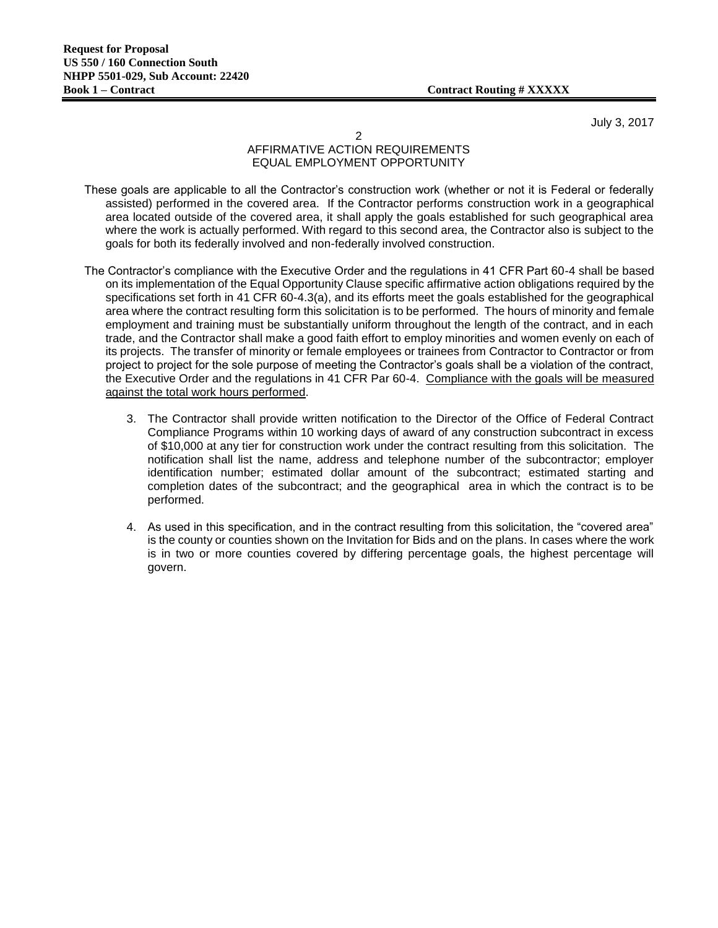- These goals are applicable to all the Contractor's construction work (whether or not it is Federal or federally assisted) performed in the covered area. If the Contractor performs construction work in a geographical area located outside of the covered area, it shall apply the goals established for such geographical area where the work is actually performed. With regard to this second area, the Contractor also is subject to the goals for both its federally involved and non-federally involved construction.
- The Contractor's compliance with the Executive Order and the regulations in 41 CFR Part 60-4 shall be based on its implementation of the Equal Opportunity Clause specific affirmative action obligations required by the specifications set forth in 41 CFR 60-4.3(a), and its efforts meet the goals established for the geographical area where the contract resulting form this solicitation is to be performed. The hours of minority and female employment and training must be substantially uniform throughout the length of the contract, and in each trade, and the Contractor shall make a good faith effort to employ minorities and women evenly on each of its projects. The transfer of minority or female employees or trainees from Contractor to Contractor or from project to project for the sole purpose of meeting the Contractor's goals shall be a violation of the contract, the Executive Order and the regulations in 41 CFR Par 60-4. Compliance with the goals will be measured against the total work hours performed.
	- 3. The Contractor shall provide written notification to the Director of the Office of Federal Contract Compliance Programs within 10 working days of award of any construction subcontract in excess of \$10,000 at any tier for construction work under the contract resulting from this solicitation. The notification shall list the name, address and telephone number of the subcontractor; employer identification number; estimated dollar amount of the subcontract; estimated starting and completion dates of the subcontract; and the geographical area in which the contract is to be performed.
	- 4. As used in this specification, and in the contract resulting from this solicitation, the "covered area" is the county or counties shown on the Invitation for Bids and on the plans. In cases where the work is in two or more counties covered by differing percentage goals, the highest percentage will govern.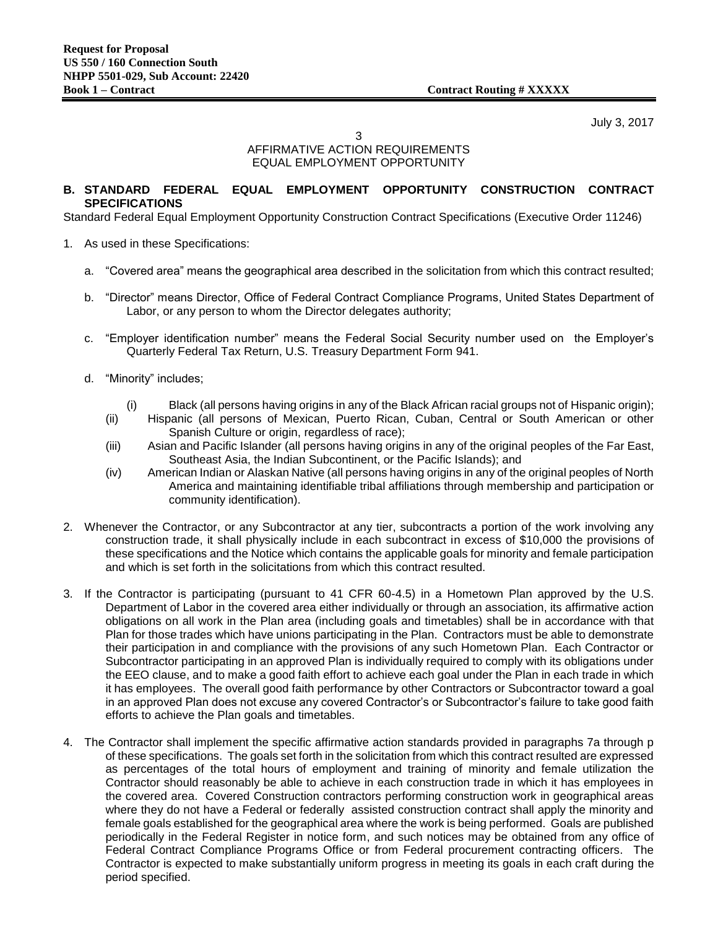# 3 AFFIRMATIVE ACTION REQUIREMENTS EQUAL EMPLOYMENT OPPORTUNITY

#### **B. STANDARD FEDERAL EQUAL EMPLOYMENT OPPORTUNITY CONSTRUCTION CONTRACT SPECIFICATIONS**

Standard Federal Equal Employment Opportunity Construction Contract Specifications (Executive Order 11246)

- 1. As used in these Specifications:
	- a. "Covered area" means the geographical area described in the solicitation from which this contract resulted;
	- b. "Director" means Director, Office of Federal Contract Compliance Programs, United States Department of Labor, or any person to whom the Director delegates authority;
	- c. "Employer identification number" means the Federal Social Security number used on the Employer's Quarterly Federal Tax Return, U.S. Treasury Department Form 941.
	- d. "Minority" includes;
		- (i) Black (all persons having origins in any of the Black African racial groups not of Hispanic origin);
		- (ii) Hispanic (all persons of Mexican, Puerto Rican, Cuban, Central or South American or other Spanish Culture or origin, regardless of race);
		- (iii) Asian and Pacific Islander (all persons having origins in any of the original peoples of the Far East, Southeast Asia, the Indian Subcontinent, or the Pacific Islands); and
		- (iv) American Indian or Alaskan Native (all persons having origins in any of the original peoples of North America and maintaining identifiable tribal affiliations through membership and participation or community identification).
- 2. Whenever the Contractor, or any Subcontractor at any tier, subcontracts a portion of the work involving any construction trade, it shall physically include in each subcontract in excess of \$10,000 the provisions of these specifications and the Notice which contains the applicable goals for minority and female participation and which is set forth in the solicitations from which this contract resulted.
- 3. If the Contractor is participating (pursuant to 41 CFR 60-4.5) in a Hometown Plan approved by the U.S. Department of Labor in the covered area either individually or through an association, its affirmative action obligations on all work in the Plan area (including goals and timetables) shall be in accordance with that Plan for those trades which have unions participating in the Plan. Contractors must be able to demonstrate their participation in and compliance with the provisions of any such Hometown Plan. Each Contractor or Subcontractor participating in an approved Plan is individually required to comply with its obligations under the EEO clause, and to make a good faith effort to achieve each goal under the Plan in each trade in which it has employees. The overall good faith performance by other Contractors or Subcontractor toward a goal in an approved Plan does not excuse any covered Contractor's or Subcontractor's failure to take good faith efforts to achieve the Plan goals and timetables.
- 4. The Contractor shall implement the specific affirmative action standards provided in paragraphs 7a through p of these specifications. The goals set forth in the solicitation from which this contract resulted are expressed as percentages of the total hours of employment and training of minority and female utilization the Contractor should reasonably be able to achieve in each construction trade in which it has employees in the covered area. Covered Construction contractors performing construction work in geographical areas where they do not have a Federal or federally assisted construction contract shall apply the minority and female goals established for the geographical area where the work is being performed. Goals are published periodically in the Federal Register in notice form, and such notices may be obtained from any office of Federal Contract Compliance Programs Office or from Federal procurement contracting officers. The Contractor is expected to make substantially uniform progress in meeting its goals in each craft during the period specified.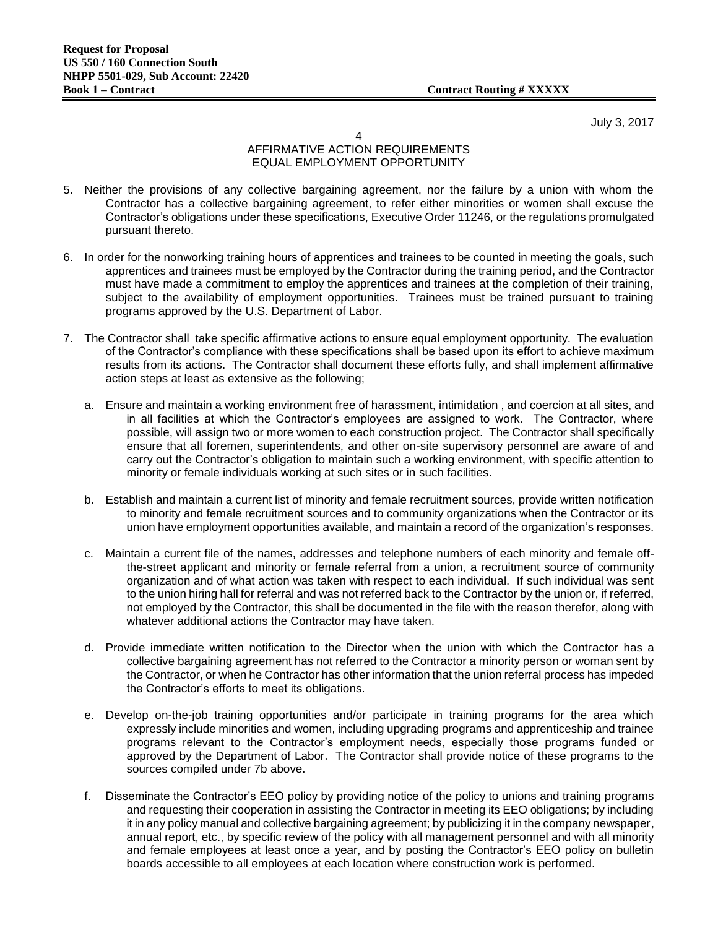- 5. Neither the provisions of any collective bargaining agreement, nor the failure by a union with whom the Contractor has a collective bargaining agreement, to refer either minorities or women shall excuse the Contractor's obligations under these specifications, Executive Order 11246, or the regulations promulgated pursuant thereto.
- 6. In order for the nonworking training hours of apprentices and trainees to be counted in meeting the goals, such apprentices and trainees must be employed by the Contractor during the training period, and the Contractor must have made a commitment to employ the apprentices and trainees at the completion of their training, subject to the availability of employment opportunities. Trainees must be trained pursuant to training programs approved by the U.S. Department of Labor.
- 7. The Contractor shall take specific affirmative actions to ensure equal employment opportunity. The evaluation of the Contractor's compliance with these specifications shall be based upon its effort to achieve maximum results from its actions. The Contractor shall document these efforts fully, and shall implement affirmative action steps at least as extensive as the following;
	- a. Ensure and maintain a working environment free of harassment, intimidation , and coercion at all sites, and in all facilities at which the Contractor's employees are assigned to work. The Contractor, where possible, will assign two or more women to each construction project. The Contractor shall specifically ensure that all foremen, superintendents, and other on-site supervisory personnel are aware of and carry out the Contractor's obligation to maintain such a working environment, with specific attention to minority or female individuals working at such sites or in such facilities.
	- b. Establish and maintain a current list of minority and female recruitment sources, provide written notification to minority and female recruitment sources and to community organizations when the Contractor or its union have employment opportunities available, and maintain a record of the organization's responses.
	- c. Maintain a current file of the names, addresses and telephone numbers of each minority and female offthe-street applicant and minority or female referral from a union, a recruitment source of community organization and of what action was taken with respect to each individual. If such individual was sent to the union hiring hall for referral and was not referred back to the Contractor by the union or, if referred, not employed by the Contractor, this shall be documented in the file with the reason therefor, along with whatever additional actions the Contractor may have taken.
	- d. Provide immediate written notification to the Director when the union with which the Contractor has a collective bargaining agreement has not referred to the Contractor a minority person or woman sent by the Contractor, or when he Contractor has other information that the union referral process has impeded the Contractor's efforts to meet its obligations.
	- e. Develop on-the-job training opportunities and/or participate in training programs for the area which expressly include minorities and women, including upgrading programs and apprenticeship and trainee programs relevant to the Contractor's employment needs, especially those programs funded or approved by the Department of Labor. The Contractor shall provide notice of these programs to the sources compiled under 7b above.
	- f. Disseminate the Contractor's EEO policy by providing notice of the policy to unions and training programs and requesting their cooperation in assisting the Contractor in meeting its EEO obligations; by including it in any policy manual and collective bargaining agreement; by publicizing it in the company newspaper, annual report, etc., by specific review of the policy with all management personnel and with all minority and female employees at least once a year, and by posting the Contractor's EEO policy on bulletin boards accessible to all employees at each location where construction work is performed.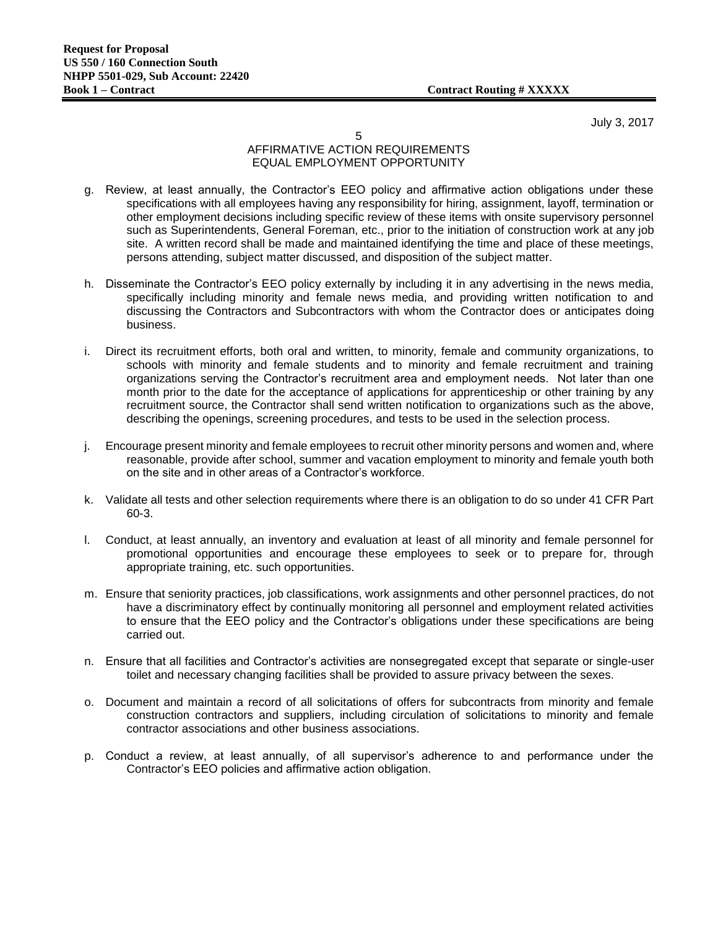- g. Review, at least annually, the Contractor's EEO policy and affirmative action obligations under these specifications with all employees having any responsibility for hiring, assignment, layoff, termination or other employment decisions including specific review of these items with onsite supervisory personnel such as Superintendents, General Foreman, etc., prior to the initiation of construction work at any job site. A written record shall be made and maintained identifying the time and place of these meetings, persons attending, subject matter discussed, and disposition of the subject matter.
- h. Disseminate the Contractor's EEO policy externally by including it in any advertising in the news media, specifically including minority and female news media, and providing written notification to and discussing the Contractors and Subcontractors with whom the Contractor does or anticipates doing business.
- i. Direct its recruitment efforts, both oral and written, to minority, female and community organizations, to schools with minority and female students and to minority and female recruitment and training organizations serving the Contractor's recruitment area and employment needs. Not later than one month prior to the date for the acceptance of applications for apprenticeship or other training by any recruitment source, the Contractor shall send written notification to organizations such as the above, describing the openings, screening procedures, and tests to be used in the selection process.
- j. Encourage present minority and female employees to recruit other minority persons and women and, where reasonable, provide after school, summer and vacation employment to minority and female youth both on the site and in other areas of a Contractor's workforce.
- k. Validate all tests and other selection requirements where there is an obligation to do so under 41 CFR Part 60-3.
- l. Conduct, at least annually, an inventory and evaluation at least of all minority and female personnel for promotional opportunities and encourage these employees to seek or to prepare for, through appropriate training, etc. such opportunities.
- m. Ensure that seniority practices, job classifications, work assignments and other personnel practices, do not have a discriminatory effect by continually monitoring all personnel and employment related activities to ensure that the EEO policy and the Contractor's obligations under these specifications are being carried out.
- n. Ensure that all facilities and Contractor's activities are nonsegregated except that separate or single-user toilet and necessary changing facilities shall be provided to assure privacy between the sexes.
- o. Document and maintain a record of all solicitations of offers for subcontracts from minority and female construction contractors and suppliers, including circulation of solicitations to minority and female contractor associations and other business associations.
- p. Conduct a review, at least annually, of all supervisor's adherence to and performance under the Contractor's EEO policies and affirmative action obligation.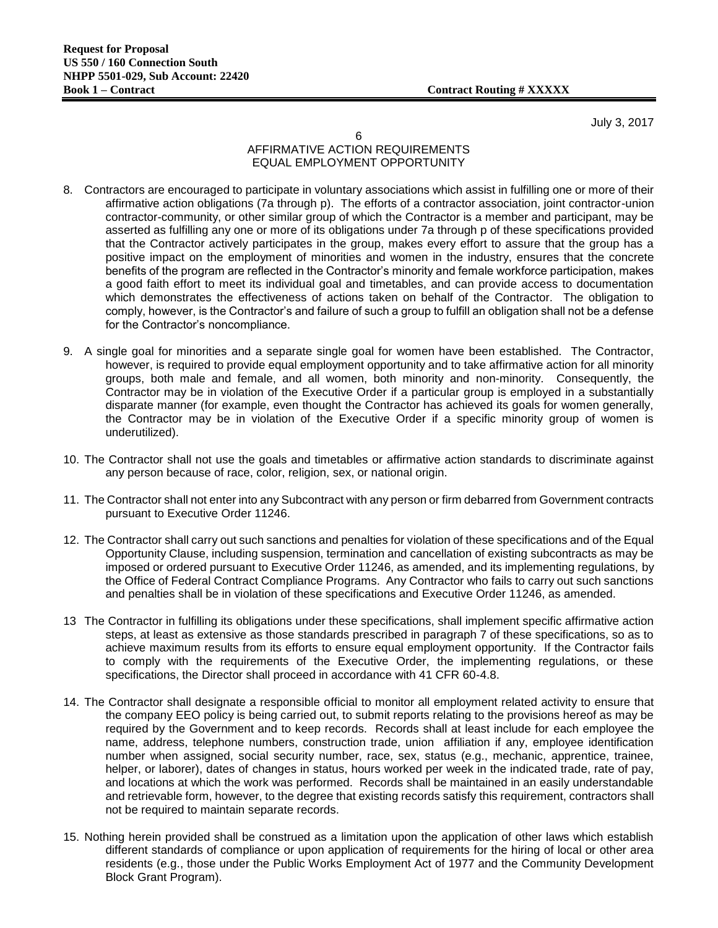- 8. Contractors are encouraged to participate in voluntary associations which assist in fulfilling one or more of their affirmative action obligations (7a through p). The efforts of a contractor association, joint contractor-union contractor-community, or other similar group of which the Contractor is a member and participant, may be asserted as fulfilling any one or more of its obligations under 7a through p of these specifications provided that the Contractor actively participates in the group, makes every effort to assure that the group has a positive impact on the employment of minorities and women in the industry, ensures that the concrete benefits of the program are reflected in the Contractor's minority and female workforce participation, makes a good faith effort to meet its individual goal and timetables, and can provide access to documentation which demonstrates the effectiveness of actions taken on behalf of the Contractor. The obligation to comply, however, is the Contractor's and failure of such a group to fulfill an obligation shall not be a defense for the Contractor's noncompliance.
- 9. A single goal for minorities and a separate single goal for women have been established. The Contractor, however, is required to provide equal employment opportunity and to take affirmative action for all minority groups, both male and female, and all women, both minority and non-minority. Consequently, the Contractor may be in violation of the Executive Order if a particular group is employed in a substantially disparate manner (for example, even thought the Contractor has achieved its goals for women generally, the Contractor may be in violation of the Executive Order if a specific minority group of women is underutilized).
- 10. The Contractor shall not use the goals and timetables or affirmative action standards to discriminate against any person because of race, color, religion, sex, or national origin.
- 11. The Contractor shall not enter into any Subcontract with any person or firm debarred from Government contracts pursuant to Executive Order 11246.
- 12. The Contractor shall carry out such sanctions and penalties for violation of these specifications and of the Equal Opportunity Clause, including suspension, termination and cancellation of existing subcontracts as may be imposed or ordered pursuant to Executive Order 11246, as amended, and its implementing regulations, by the Office of Federal Contract Compliance Programs. Any Contractor who fails to carry out such sanctions and penalties shall be in violation of these specifications and Executive Order 11246, as amended.
- 13 The Contractor in fulfilling its obligations under these specifications, shall implement specific affirmative action steps, at least as extensive as those standards prescribed in paragraph 7 of these specifications, so as to achieve maximum results from its efforts to ensure equal employment opportunity. If the Contractor fails to comply with the requirements of the Executive Order, the implementing regulations, or these specifications, the Director shall proceed in accordance with 41 CFR 60-4.8.
- 14. The Contractor shall designate a responsible official to monitor all employment related activity to ensure that the company EEO policy is being carried out, to submit reports relating to the provisions hereof as may be required by the Government and to keep records. Records shall at least include for each employee the name, address, telephone numbers, construction trade, union affiliation if any, employee identification number when assigned, social security number, race, sex, status (e.g., mechanic, apprentice, trainee, helper, or laborer), dates of changes in status, hours worked per week in the indicated trade, rate of pay, and locations at which the work was performed. Records shall be maintained in an easily understandable and retrievable form, however, to the degree that existing records satisfy this requirement, contractors shall not be required to maintain separate records.
- 15. Nothing herein provided shall be construed as a limitation upon the application of other laws which establish different standards of compliance or upon application of requirements for the hiring of local or other area residents (e.g., those under the Public Works Employment Act of 1977 and the Community Development Block Grant Program).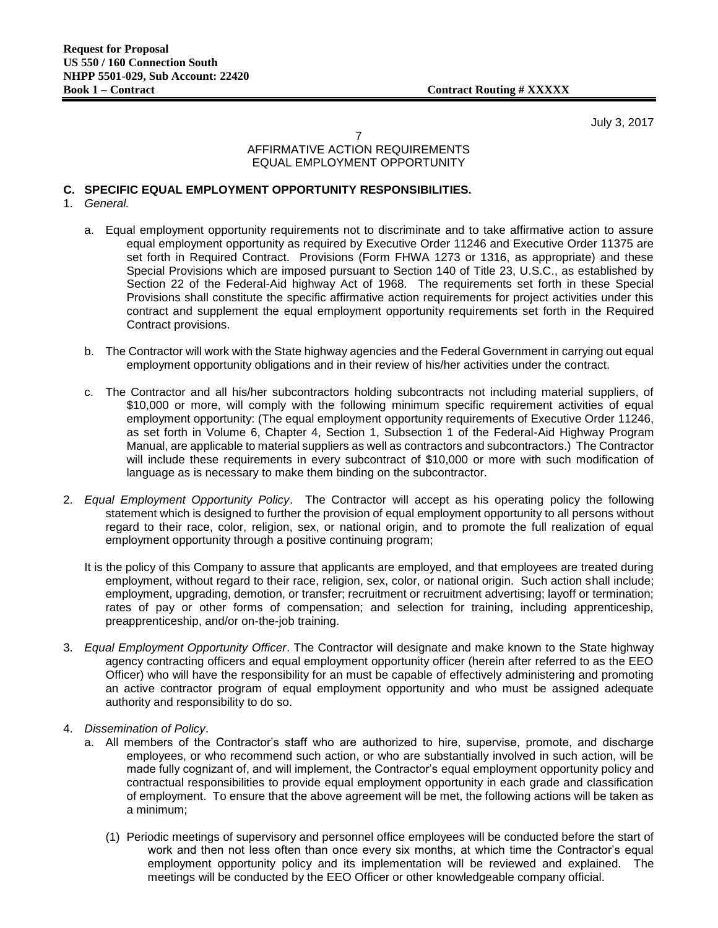# 7 AFFIRMATIVE ACTION REQUIREMENTS EQUAL EMPLOYMENT OPPORTUNITY

# **C. SPECIFIC EQUAL EMPLOYMENT OPPORTUNITY RESPONSIBILITIES.**

- 1. *General.*
	- a. Equal employment opportunity requirements not to discriminate and to take affirmative action to assure equal employment opportunity as required by Executive Order 11246 and Executive Order 11375 are set forth in Required Contract. Provisions (Form FHWA 1273 or 1316, as appropriate) and these Special Provisions which are imposed pursuant to Section 140 of Title 23, U.S.C., as established by Section 22 of the Federal-Aid highway Act of 1968. The requirements set forth in these Special Provisions shall constitute the specific affirmative action requirements for project activities under this contract and supplement the equal employment opportunity requirements set forth in the Required Contract provisions.
	- b. The Contractor will work with the State highway agencies and the Federal Government in carrying out equal employment opportunity obligations and in their review of his/her activities under the contract.
	- c. The Contractor and all his/her subcontractors holding subcontracts not including material suppliers, of \$10,000 or more, will comply with the following minimum specific requirement activities of equal employment opportunity: (The equal employment opportunity requirements of Executive Order 11246, as set forth in Volume 6, Chapter 4, Section 1, Subsection 1 of the Federal-Aid Highway Program Manual, are applicable to material suppliers as well as contractors and subcontractors.) The Contractor will include these requirements in every subcontract of \$10,000 or more with such modification of language as is necessary to make them binding on the subcontractor.
- 2. *Equal Employment Opportunity Policy*. The Contractor will accept as his operating policy the following statement which is designed to further the provision of equal employment opportunity to all persons without regard to their race, color, religion, sex, or national origin, and to promote the full realization of equal employment opportunity through a positive continuing program;
	- It is the policy of this Company to assure that applicants are employed, and that employees are treated during employment, without regard to their race, religion, sex, color, or national origin. Such action shall include; employment, upgrading, demotion, or transfer; recruitment or recruitment advertising; layoff or termination; rates of pay or other forms of compensation; and selection for training, including apprenticeship, preapprenticeship, and/or on-the-job training.
- 3. *Equal Employment Opportunity Officer*. The Contractor will designate and make known to the State highway agency contracting officers and equal employment opportunity officer (herein after referred to as the EEO Officer) who will have the responsibility for an must be capable of effectively administering and promoting an active contractor program of equal employment opportunity and who must be assigned adequate authority and responsibility to do so.
- 4. *Dissemination of Policy*.
	- a. All members of the Contractor's staff who are authorized to hire, supervise, promote, and discharge employees, or who recommend such action, or who are substantially involved in such action, will be made fully cognizant of, and will implement, the Contractor's equal employment opportunity policy and contractual responsibilities to provide equal employment opportunity in each grade and classification of employment. To ensure that the above agreement will be met, the following actions will be taken as a minimum;
		- (1) Periodic meetings of supervisory and personnel office employees will be conducted before the start of work and then not less often than once every six months, at which time the Contractor's equal employment opportunity policy and its implementation will be reviewed and explained. The meetings will be conducted by the EEO Officer or other knowledgeable company official.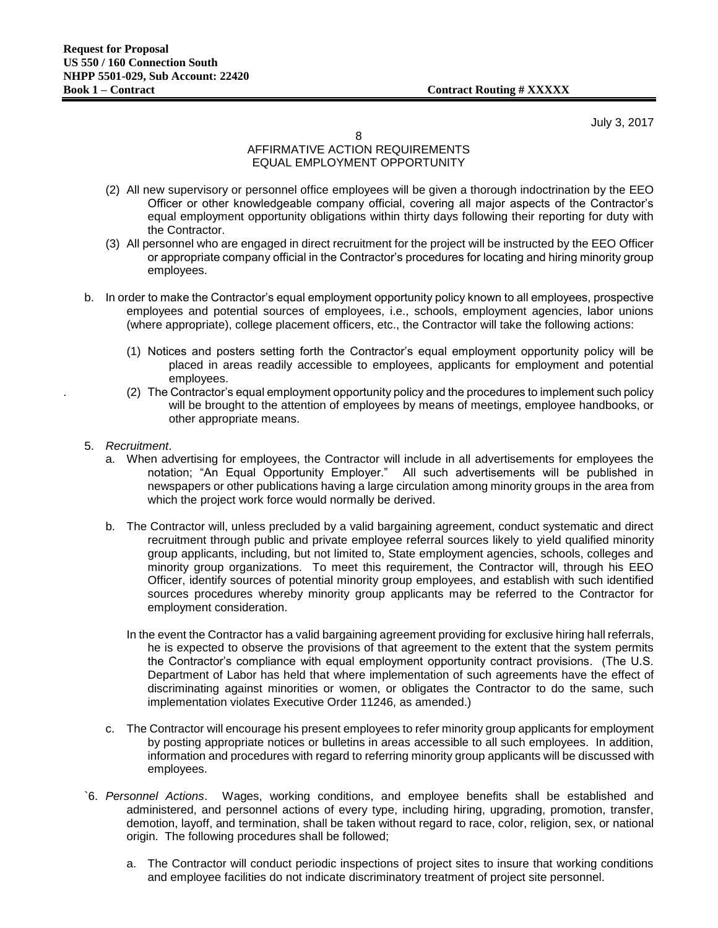- (2) All new supervisory or personnel office employees will be given a thorough indoctrination by the EEO Officer or other knowledgeable company official, covering all major aspects of the Contractor's equal employment opportunity obligations within thirty days following their reporting for duty with the Contractor.
- (3) All personnel who are engaged in direct recruitment for the project will be instructed by the EEO Officer or appropriate company official in the Contractor's procedures for locating and hiring minority group employees.
- b. In order to make the Contractor's equal employment opportunity policy known to all employees, prospective employees and potential sources of employees, i.e., schools, employment agencies, labor unions (where appropriate), college placement officers, etc., the Contractor will take the following actions:
	- (1) Notices and posters setting forth the Contractor's equal employment opportunity policy will be placed in areas readily accessible to employees, applicants for employment and potential employees.
	- . (2) The Contractor's equal employment opportunity policy and the procedures to implement such policy will be brought to the attention of employees by means of meetings, employee handbooks, or other appropriate means.
- 5. *Recruitment*.
	- a. When advertising for employees, the Contractor will include in all advertisements for employees the notation; "An Equal Opportunity Employer." All such advertisements will be published in newspapers or other publications having a large circulation among minority groups in the area from which the project work force would normally be derived.
	- b. The Contractor will, unless precluded by a valid bargaining agreement, conduct systematic and direct recruitment through public and private employee referral sources likely to yield qualified minority group applicants, including, but not limited to, State employment agencies, schools, colleges and minority group organizations. To meet this requirement, the Contractor will, through his EEO Officer, identify sources of potential minority group employees, and establish with such identified sources procedures whereby minority group applicants may be referred to the Contractor for employment consideration.
		- In the event the Contractor has a valid bargaining agreement providing for exclusive hiring hall referrals, he is expected to observe the provisions of that agreement to the extent that the system permits the Contractor's compliance with equal employment opportunity contract provisions. (The U.S. Department of Labor has held that where implementation of such agreements have the effect of discriminating against minorities or women, or obligates the Contractor to do the same, such implementation violates Executive Order 11246, as amended.)
	- c. The Contractor will encourage his present employees to refer minority group applicants for employment by posting appropriate notices or bulletins in areas accessible to all such employees. In addition, information and procedures with regard to referring minority group applicants will be discussed with employees.
- `6. *Personnel Actions*. Wages, working conditions, and employee benefits shall be established and administered, and personnel actions of every type, including hiring, upgrading, promotion, transfer, demotion, layoff, and termination, shall be taken without regard to race, color, religion, sex, or national origin. The following procedures shall be followed;
	- a. The Contractor will conduct periodic inspections of project sites to insure that working conditions and employee facilities do not indicate discriminatory treatment of project site personnel.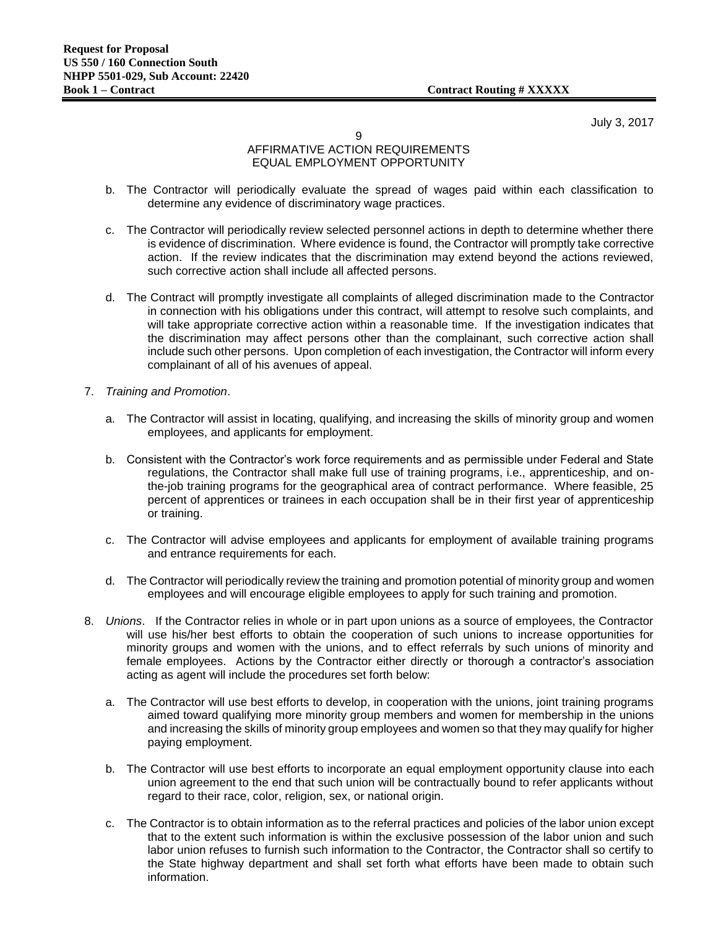- b. The Contractor will periodically evaluate the spread of wages paid within each classification to determine any evidence of discriminatory wage practices.
- c. The Contractor will periodically review selected personnel actions in depth to determine whether there is evidence of discrimination. Where evidence is found, the Contractor will promptly take corrective action. If the review indicates that the discrimination may extend beyond the actions reviewed, such corrective action shall include all affected persons.
- d. The Contract will promptly investigate all complaints of alleged discrimination made to the Contractor in connection with his obligations under this contract, will attempt to resolve such complaints, and will take appropriate corrective action within a reasonable time. If the investigation indicates that the discrimination may affect persons other than the complainant, such corrective action shall include such other persons. Upon completion of each investigation, the Contractor will inform every complainant of all of his avenues of appeal.
- 7. *Training and Promotion*.
	- a. The Contractor will assist in locating, qualifying, and increasing the skills of minority group and women employees, and applicants for employment.
	- b. Consistent with the Contractor's work force requirements and as permissible under Federal and State regulations, the Contractor shall make full use of training programs, i.e., apprenticeship, and onthe-job training programs for the geographical area of contract performance. Where feasible, 25 percent of apprentices or trainees in each occupation shall be in their first year of apprenticeship or training.
	- c. The Contractor will advise employees and applicants for employment of available training programs and entrance requirements for each.
	- d. The Contractor will periodically review the training and promotion potential of minority group and women employees and will encourage eligible employees to apply for such training and promotion.
- 8. *Unions*. If the Contractor relies in whole or in part upon unions as a source of employees, the Contractor will use his/her best efforts to obtain the cooperation of such unions to increase opportunities for minority groups and women with the unions, and to effect referrals by such unions of minority and female employees. Actions by the Contractor either directly or thorough a contractor's association acting as agent will include the procedures set forth below:
	- a. The Contractor will use best efforts to develop, in cooperation with the unions, joint training programs aimed toward qualifying more minority group members and women for membership in the unions and increasing the skills of minority group employees and women so that they may qualify for higher paying employment.
	- b. The Contractor will use best efforts to incorporate an equal employment opportunity clause into each union agreement to the end that such union will be contractually bound to refer applicants without regard to their race, color, religion, sex, or national origin.
	- c. The Contractor is to obtain information as to the referral practices and policies of the labor union except that to the extent such information is within the exclusive possession of the labor union and such labor union refuses to furnish such information to the Contractor, the Contractor shall so certify to the State highway department and shall set forth what efforts have been made to obtain such information.